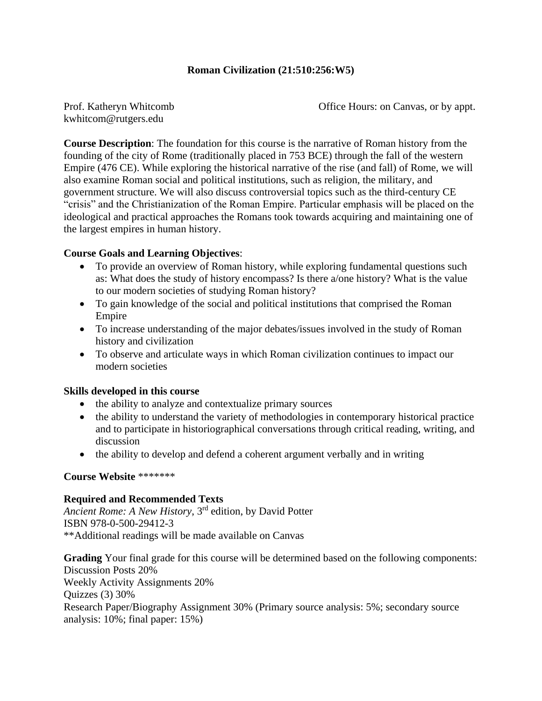## **Roman Civilization (21:510:256:W5)**

kwhitcom@rutgers.edu

Prof. Katheryn Whitcomb Office Hours: on Canvas, or by appt.

**Course Description**: The foundation for this course is the narrative of Roman history from the founding of the city of Rome (traditionally placed in 753 BCE) through the fall of the western Empire (476 CE). While exploring the historical narrative of the rise (and fall) of Rome, we will also examine Roman social and political institutions, such as religion, the military, and government structure. We will also discuss controversial topics such as the third-century CE "crisis" and the Christianization of the Roman Empire. Particular emphasis will be placed on the ideological and practical approaches the Romans took towards acquiring and maintaining one of the largest empires in human history.

## **Course Goals and Learning Objectives**:

- To provide an overview of Roman history, while exploring fundamental questions such as: What does the study of history encompass? Is there a/one history? What is the value to our modern societies of studying Roman history?
- To gain knowledge of the social and political institutions that comprised the Roman Empire
- To increase understanding of the major debates/issues involved in the study of Roman history and civilization
- To observe and articulate ways in which Roman civilization continues to impact our modern societies

#### **Skills developed in this course**

- the ability to analyze and contextualize primary sources
- the ability to understand the variety of methodologies in contemporary historical practice and to participate in historiographical conversations through critical reading, writing, and discussion
- the ability to develop and defend a coherent argument verbally and in writing

#### **Course Website** \*\*\*\*\*\*\*

#### **Required and Recommended Texts**

*Ancient Rome: A New History*, 3rd edition, by David Potter ISBN 978-0-500-29412-3 \*\*Additional readings will be made available on Canvas

**Grading** Your final grade for this course will be determined based on the following components: Discussion Posts 20% Weekly Activity Assignments 20% Quizzes (3) 30% Research Paper/Biography Assignment 30% (Primary source analysis: 5%; secondary source analysis: 10%; final paper: 15%)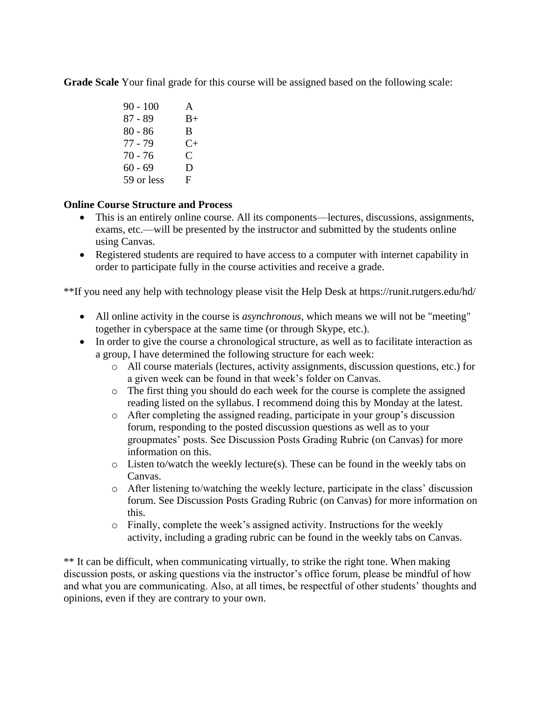**Grade Scale** Your final grade for this course will be assigned based on the following scale:

90 - 100 A  $87 - 89$  B+ 80 - 86 B  $77 - 79$  C+ 70 - 76 C  $60 - 69$  D 59 or less F

# **Online Course Structure and Process**

- This is an entirely online course. All its components—lectures, discussions, assignments, exams, etc.—will be presented by the instructor and submitted by the students online using Canvas.
- Registered students are required to have access to a computer with internet capability in order to participate fully in the course activities and receive a grade.

\*\*If you need any help with technology please visit the Help Desk at https://runit.rutgers.edu/hd/

- All online activity in the course is *asynchronous*, which means we will not be "meeting" together in cyberspace at the same time (or through Skype, etc.).
- In order to give the course a chronological structure, as well as to facilitate interaction as a group, I have determined the following structure for each week:
	- o All course materials (lectures, activity assignments, discussion questions, etc.) for a given week can be found in that week's folder on Canvas.
	- o The first thing you should do each week for the course is complete the assigned reading listed on the syllabus. I recommend doing this by Monday at the latest.
	- o After completing the assigned reading, participate in your group's discussion forum, responding to the posted discussion questions as well as to your groupmates' posts. See Discussion Posts Grading Rubric (on Canvas) for more information on this.
	- $\circ$  Listen to/watch the weekly lecture(s). These can be found in the weekly tabs on Canvas.
	- o After listening to/watching the weekly lecture, participate in the class' discussion forum. See Discussion Posts Grading Rubric (on Canvas) for more information on this.
	- o Finally, complete the week's assigned activity. Instructions for the weekly activity, including a grading rubric can be found in the weekly tabs on Canvas.

\*\* It can be difficult, when communicating virtually, to strike the right tone. When making discussion posts, or asking questions via the instructor's office forum, please be mindful of how and what you are communicating. Also, at all times, be respectful of other students' thoughts and opinions, even if they are contrary to your own.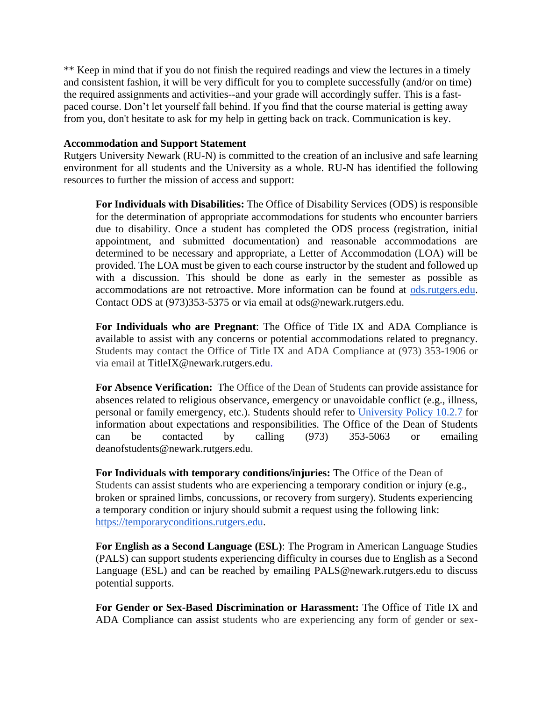\*\* Keep in mind that if you do not finish the required readings and view the lectures in a timely and consistent fashion, it will be very difficult for you to complete successfully (and/or on time) the required assignments and activities--and your grade will accordingly suffer. This is a fastpaced course. Don't let yourself fall behind. If you find that the course material is getting away from you, don't hesitate to ask for my help in getting back on track. Communication is key.

#### **Accommodation and Support Statement**

Rutgers University Newark (RU-N) is committed to the creation of an inclusive and safe learning environment for all students and the University as a whole. RU-N has identified the following resources to further the mission of access and support:

**For Individuals with Disabilities:** The Office of Disability Services (ODS) is responsible for the determination of appropriate accommodations for students who encounter barriers due to disability. Once a student has completed the ODS process (registration, initial appointment, and submitted documentation) and reasonable accommodations are determined to be necessary and appropriate, a Letter of Accommodation (LOA) will be provided. The LOA must be given to each course instructor by the student and followed up with a discussion. This should be done as early in the semester as possible as accommodations are not retroactive. More information can be found a[t](https://ods.rutgers.edu/) [ods.rutgers.edu.](https://ods.rutgers.edu/) Contact ODS at (973)353-5375 or via email at ods@newark.rutgers.edu.

**For Individuals who are Pregnant**: The Office of Title IX and ADA Compliance is available to assist with any concerns or potential accommodations related to pregnancy. Students may contact the Office of Title IX and ADA Compliance at (973) 353-1906 or via email at TitleIX@newark.rutgers.edu.

**For Absence Verification:** The Office of the Dean of Students can provide assistance for absences related to religious observance, emergency or unavoidable conflict (e.g., illness, personal or family emergency, etc.). Students should refer t[o](https://policies.rutgers.edu/1027-currentpdf) [University Policy 10.2.7](https://policies.rutgers.edu/1027-currentpdf) for information about expectations and responsibilities. The Office of the Dean of Students can be contacted by calling (973) 353-5063 or emailing deanofstudents@newark.rutgers.edu.

**For Individuals with temporary conditions/injuries:** The Office of the Dean of Students can assist students who are experiencing a temporary condition or injury (e.g., broken or sprained limbs, concussions, or recovery from surgery). Students experiencing a temporary condition or injury should submit a request using the following link[:](https://temporaryconditions.rutgers.edu/) [https://temporaryconditions.rutgers.edu.](https://temporaryconditions.rutgers.edu/)

**For English as a Second Language (ESL)**: The Program in American Language Studies (PALS) can support students experiencing difficulty in courses due to English as a Second Language (ESL) and can be reached by emailing PALS@newark.rutgers.edu to discuss potential supports.

**For Gender or Sex-Based Discrimination or Harassment:** The Office of Title IX and ADA Compliance can assist students who are experiencing any form of gender or sex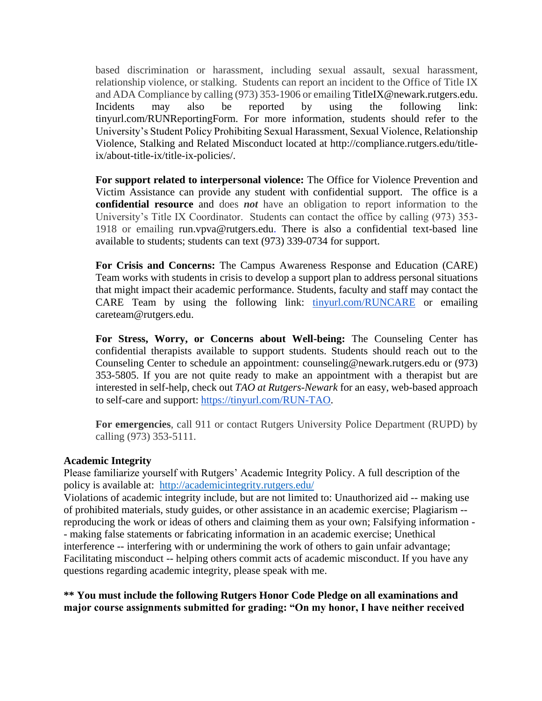based discrimination or harassment, including sexual assault, sexual harassment, relationship violence, or stalking. Students can report an incident to the Office of Title IX and ADA Compliance by calling (973) 353-1906 or emailing TitleIX@newark.rutgers.edu. Incidents may also be reported by using the following link: tinyurl.com/RUNReportingForm. For more information, students should refer to the University's Student Policy Prohibiting Sexual Harassment, Sexual Violence, Relationship Violence, Stalking and Related Misconduct located at http://compliance.rutgers.edu/titleix/about-title-ix/title-ix-policies/.

**For support related to interpersonal violence:** The Office for Violence Prevention and Victim Assistance can provide any student with confidential support. The office is a **confidential resource** and does *not* have an obligation to report information to the University's Title IX Coordinator. Students can contact the office by calling (973) 353- 1918 or emailing run.vpva@rutgers.edu. There is also a confidential text-based line available to students; students can text (973) 339-0734 for support.

**For Crisis and Concerns:** The Campus Awareness Response and Education (CARE) Team works with students in crisis to develop a support plan to address personal situations that might impact their academic performance. Students, faculty and staff may contact the CARE Team by using the following link[:](https://cm.maxient.com/reportingform.php?RutgersUniv&layout_id=11) [tinyurl.com/RUNCARE](https://cm.maxient.com/reportingform.php?RutgersUniv&layout_id=11) or emailing careteam@rutgers.edu.

**For Stress, Worry, or Concerns about Well-being:** The Counseling Center has confidential therapists available to support students. Students should reach out to the Counseling Center to schedule an appointment: counseling@newark.rutgers.edu or (973) 353-5805. If you are not quite ready to make an appointment with a therapist but are interested in self-help, check out *TAO at Rutgers-Newark* for an easy, web-based approach to self-care and support: [https://tinyurl.com/RUN-TAO.](https://tinyurl.com/RUN-TAO)

**For emergencies**, call 911 or contact Rutgers University Police Department (RUPD) by calling (973) 353-5111.

#### **Academic Integrity**

Please familiarize yourself with Rutgers' Academic Integrity Policy. A full description of the policy is available at: <http://academicintegrity.rutgers.edu/>

Violations of academic integrity include, but are not limited to: Unauthorized aid -- making use of prohibited materials, study guides, or other assistance in an academic exercise; Plagiarism - reproducing the work or ideas of others and claiming them as your own; Falsifying information - - making false statements or fabricating information in an academic exercise; Unethical interference -- interfering with or undermining the work of others to gain unfair advantage; Facilitating misconduct -- helping others commit acts of academic misconduct. If you have any questions regarding academic integrity, please speak with me.

## **\*\* You must include the following Rutgers Honor Code Pledge on all examinations and major course assignments submitted for grading: "On my honor, I have neither received**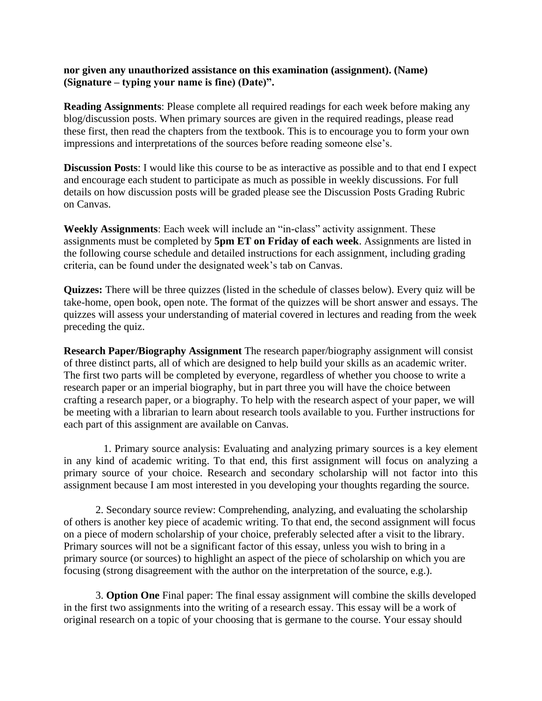#### **nor given any unauthorized assistance on this examination (assignment). (Name) (Signature – typing your name is fine) (Date)".**

**Reading Assignments**: Please complete all required readings for each week before making any blog/discussion posts. When primary sources are given in the required readings, please read these first, then read the chapters from the textbook. This is to encourage you to form your own impressions and interpretations of the sources before reading someone else's.

**Discussion Posts**: I would like this course to be as interactive as possible and to that end I expect and encourage each student to participate as much as possible in weekly discussions. For full details on how discussion posts will be graded please see the Discussion Posts Grading Rubric on Canvas.

**Weekly Assignments**: Each week will include an "in-class" activity assignment. These assignments must be completed by **5pm ET on Friday of each week**. Assignments are listed in the following course schedule and detailed instructions for each assignment, including grading criteria, can be found under the designated week's tab on Canvas.

**Quizzes:** There will be three quizzes (listed in the schedule of classes below). Every quiz will be take-home, open book, open note. The format of the quizzes will be short answer and essays. The quizzes will assess your understanding of material covered in lectures and reading from the week preceding the quiz.

**Research Paper/Biography Assignment** The research paper/biography assignment will consist of three distinct parts, all of which are designed to help build your skills as an academic writer. The first two parts will be completed by everyone, regardless of whether you choose to write a research paper or an imperial biography, but in part three you will have the choice between crafting a research paper, or a biography. To help with the research aspect of your paper, we will be meeting with a librarian to learn about research tools available to you. Further instructions for each part of this assignment are available on Canvas.

1. Primary source analysis: Evaluating and analyzing primary sources is a key element in any kind of academic writing. To that end, this first assignment will focus on analyzing a primary source of your choice. Research and secondary scholarship will not factor into this assignment because I am most interested in you developing your thoughts regarding the source.

2. Secondary source review: Comprehending, analyzing, and evaluating the scholarship of others is another key piece of academic writing. To that end, the second assignment will focus on a piece of modern scholarship of your choice, preferably selected after a visit to the library. Primary sources will not be a significant factor of this essay, unless you wish to bring in a primary source (or sources) to highlight an aspect of the piece of scholarship on which you are focusing (strong disagreement with the author on the interpretation of the source, e.g.).

3. **Option One** Final paper: The final essay assignment will combine the skills developed in the first two assignments into the writing of a research essay. This essay will be a work of original research on a topic of your choosing that is germane to the course. Your essay should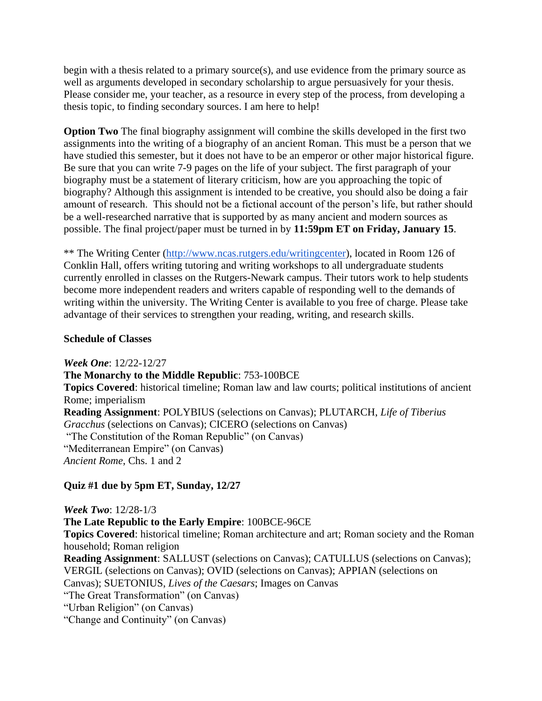begin with a thesis related to a primary source(s), and use evidence from the primary source as well as arguments developed in secondary scholarship to argue persuasively for your thesis. Please consider me, your teacher, as a resource in every step of the process, from developing a thesis topic, to finding secondary sources. I am here to help!

**Option Two** The final biography assignment will combine the skills developed in the first two assignments into the writing of a biography of an ancient Roman. This must be a person that we have studied this semester, but it does not have to be an emperor or other major historical figure. Be sure that you can write 7-9 pages on the life of your subject. The first paragraph of your biography must be a statement of literary criticism, how are you approaching the topic of biography? Although this assignment is intended to be creative, you should also be doing a fair amount of research. This should not be a fictional account of the person's life, but rather should be a well-researched narrative that is supported by as many ancient and modern sources as possible. The final project/paper must be turned in by **11:59pm ET on Friday, January 15**.

\*\* The Writing Center [\(http://www.ncas.rutgers.edu/writingcenter\)](http://www.ncas.rutgers.edu/writingcenter), located in Room 126 of Conklin Hall, offers writing tutoring and writing workshops to all undergraduate students currently enrolled in classes on the Rutgers-Newark campus. Their tutors work to help students become more independent readers and writers capable of responding well to the demands of writing within the university. The Writing Center is available to you free of charge. Please take advantage of their services to strengthen your reading, writing, and research skills.

## **Schedule of Classes**

*Week One*: 12/22-12/27

**The Monarchy to the Middle Republic**: 753-100BCE **Topics Covered**: historical timeline; Roman law and law courts; political institutions of ancient Rome; imperialism **Reading Assignment**: POLYBIUS (selections on Canvas); PLUTARCH, *Life of Tiberius Gracchus* (selections on Canvas); CICERO (selections on Canvas) "The Constitution of the Roman Republic" (on Canvas) "Mediterranean Empire" (on Canvas) *Ancient Rome*, Chs. 1 and 2

# **Quiz #1 due by 5pm ET, Sunday, 12/27**

*Week Two*: 12/28-1/3 **The Late Republic to the Early Empire**: 100BCE-96CE **Topics Covered**: historical timeline; Roman architecture and art; Roman society and the Roman household; Roman religion **Reading Assignment**: SALLUST (selections on Canvas); CATULLUS (selections on Canvas); VERGIL (selections on Canvas); OVID (selections on Canvas); APPIAN (selections on Canvas); SUETONIUS, *Lives of the Caesars*; Images on Canvas "The Great Transformation" (on Canvas) "Urban Religion" (on Canvas) "Change and Continuity" (on Canvas)